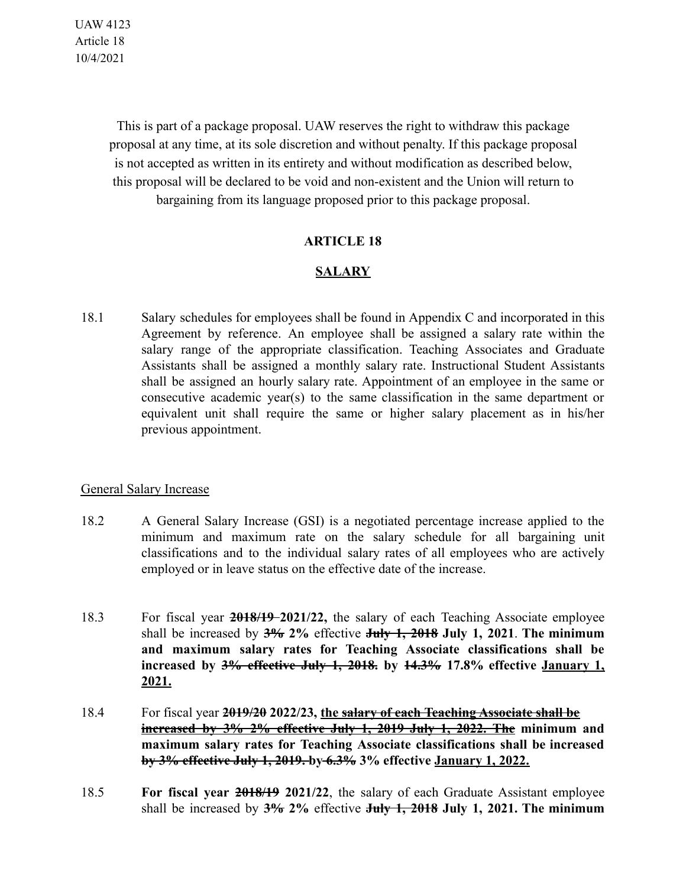UAW 4123 Article 18 10/4/2021

> This is part of a package proposal. UAW reserves the right to withdraw this package proposal at any time, at its sole discretion and without penalty. If this package proposal is not accepted as written in its entirety and without modification as described below, this proposal will be declared to be void and non-existent and the Union will return to bargaining from its language proposed prior to this package proposal.

## **ARTICLE 18**

## **SALARY**

18.1 Salary schedules for employees shall be found in Appendix C and incorporated in this Agreement by reference. An employee shall be assigned a salary rate within the salary range of the appropriate classification. Teaching Associates and Graduate Assistants shall be assigned a monthly salary rate. Instructional Student Assistants shall be assigned an hourly salary rate. Appointment of an employee in the same or consecutive academic year(s) to the same classification in the same department or equivalent unit shall require the same or higher salary placement as in his/her previous appointment.

## General Salary Increase

- 18.2 A General Salary Increase (GSI) is a negotiated percentage increase applied to the minimum and maximum rate on the salary schedule for all bargaining unit classifications and to the individual salary rates of all employees who are actively employed or in leave status on the effective date of the increase.
- 18.3 For fiscal year **2018/19 2021/22,** the salary of each Teaching Associate employee shall be increased by **3% 2%** effective **July 1, 2018 July 1, 2021**. **The minimum and maximum salary rates for Teaching Associate classifications shall be increased by 3% effective July 1, 2018. by 14.3% 17.8% effective January 1, 2021.**
- 18.4 For fiscal year **2019/20 2022/23, the salary of each Teaching Associate shall be increased by 3% 2% effective July 1, 2019 July 1, 2022. The minimum and maximum salary rates for Teaching Associate classifications shall be increased by 3% effective July 1, 2019. by 6.3% 3% effective January 1, 2022.**
- 18.5 **For fiscal year 2018/19 2021/22**, the salary of each Graduate Assistant employee shall be increased by **3% 2%** effective **July 1, 2018 July 1, 2021. The minimum**